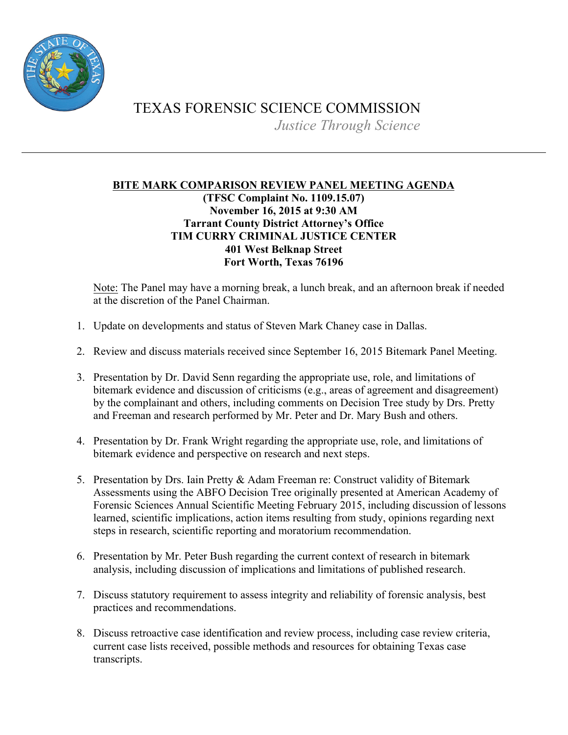

## TEXAS FORENSIC SCIENCE COMMISSION *Justice Through Science*

## **BITE MARK COMPARISON REVIEW PANEL MEETING AGENDA (TFSC Complaint No. 1109.15.07) November 16, 2015 at 9:30 AM Tarrant County District Attorney's Office TIM CURRY CRIMINAL JUSTICE CENTER 401 West Belknap Street Fort Worth, Texas 76196**

Note: The Panel may have a morning break, a lunch break, and an afternoon break if needed at the discretion of the Panel Chairman.

- 1. Update on developments and status of Steven Mark Chaney case in Dallas.
- 2. Review and discuss materials received since September 16, 2015 Bitemark Panel Meeting.
- 3. Presentation by Dr. David Senn regarding the appropriate use, role, and limitations of bitemark evidence and discussion of criticisms (e.g., areas of agreement and disagreement) by the complainant and others, including comments on Decision Tree study by Drs. Pretty and Freeman and research performed by Mr. Peter and Dr. Mary Bush and others.
- 4. Presentation by Dr. Frank Wright regarding the appropriate use, role, and limitations of bitemark evidence and perspective on research and next steps.
- 5. Presentation by Drs. Iain Pretty & Adam Freeman re: Construct validity of Bitemark Assessments using the ABFO Decision Tree originally presented at American Academy of Forensic Sciences Annual Scientific Meeting February 2015, including discussion of lessons learned, scientific implications, action items resulting from study, opinions regarding next steps in research, scientific reporting and moratorium recommendation.
- 6. Presentation by Mr. Peter Bush regarding the current context of research in bitemark analysis, including discussion of implications and limitations of published research.
- 7. Discuss statutory requirement to assess integrity and reliability of forensic analysis, best practices and recommendations.
- 8. Discuss retroactive case identification and review process, including case review criteria, current case lists received, possible methods and resources for obtaining Texas case transcripts.